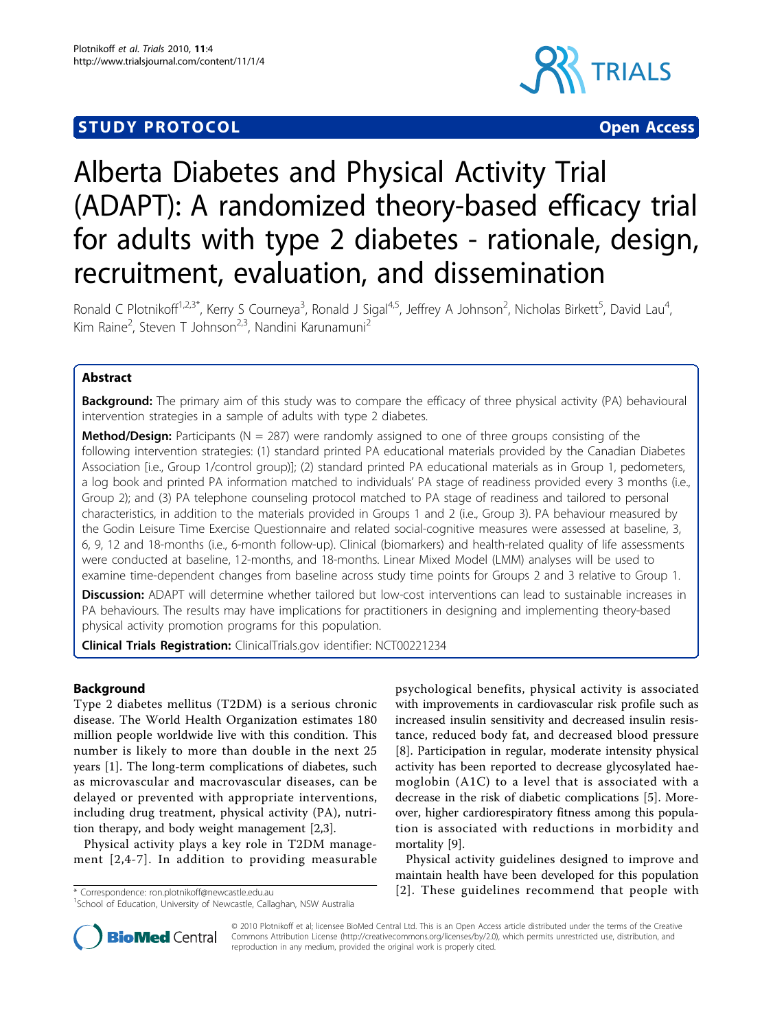# **STUDY PROTOCOL CONSUMING THE CONSUMING OPEN ACCESS**



# Alberta Diabetes and Physical Activity Trial (ADAPT): A randomized theory-based efficacy trial for adults with type 2 diabetes - rationale, design, recruitment, evaluation, and dissemination

Ronald C Plotnikoff<sup>1,2,3\*</sup>, Kerry S Courneya<sup>3</sup>, Ronald J Sigal<sup>4,5</sup>, Jeffrey A Johnson<sup>2</sup>, Nicholas Birkett<sup>5</sup>, David Lau<sup>4</sup> , Kim Raine<sup>2</sup>, Steven T Johnson<sup>2,3</sup>, Nandini Karunamuni<sup>2</sup>

# Abstract

Background: The primary aim of this study was to compare the efficacy of three physical activity (PA) behavioural intervention strategies in a sample of adults with type 2 diabetes.

**Method/Design:** Participants ( $N = 287$ ) were randomly assigned to one of three groups consisting of the following intervention strategies: (1) standard printed PA educational materials provided by the Canadian Diabetes Association [i.e., Group 1/control group)]; (2) standard printed PA educational materials as in Group 1, pedometers, a log book and printed PA information matched to individuals' PA stage of readiness provided every 3 months (i.e., Group 2); and (3) PA telephone counseling protocol matched to PA stage of readiness and tailored to personal characteristics, in addition to the materials provided in Groups 1 and 2 (i.e., Group 3). PA behaviour measured by the Godin Leisure Time Exercise Questionnaire and related social-cognitive measures were assessed at baseline, 3, 6, 9, 12 and 18-months (i.e., 6-month follow-up). Clinical (biomarkers) and health-related quality of life assessments were conducted at baseline, 12-months, and 18-months. Linear Mixed Model (LMM) analyses will be used to examine time-dependent changes from baseline across study time points for Groups 2 and 3 relative to Group 1.

Discussion: ADAPT will determine whether tailored but low-cost interventions can lead to sustainable increases in PA behaviours. The results may have implications for practitioners in designing and implementing theory-based physical activity promotion programs for this population.

**Clinical Trials Registration:** ClinicalTrials.gov identifier: NCT00221234

# Background

Type 2 diabetes mellitus (T2DM) is a serious chronic disease. The World Health Organization estimates 180 million people worldwide live with this condition. This number is likely to more than double in the next 25 years [[1\]](#page-7-0). The long-term complications of diabetes, such as microvascular and macrovascular diseases, can be delayed or prevented with appropriate interventions, including drug treatment, physical activity (PA), nutrition therapy, and body weight management [[2,3\]](#page-7-0).

Physical activity plays a key role in T2DM management [[2](#page-7-0),[4](#page-7-0)-[7\]](#page-7-0). In addition to providing measurable

psychological benefits, physical activity is associated with improvements in cardiovascular risk profile such as increased insulin sensitivity and decreased insulin resistance, reduced body fat, and decreased blood pressure [[8\]](#page-7-0). Participation in regular, moderate intensity physical activity has been reported to decrease glycosylated haemoglobin (A1C) to a level that is associated with a decrease in the risk of diabetic complications [[5\]](#page-7-0). Moreover, higher cardiorespiratory fitness among this population is associated with reductions in morbidity and mortality [\[9](#page-7-0)].

Physical activity guidelines designed to improve and maintain health have been developed for this population \* Correspondence: [ron.plotnikoff@newcastle.edu.au](mailto:ron.plotnikoff@newcastle.edu.au) [[2\]](#page-7-0). These guidelines recommend that people with



© 2010 Plotnikoff et al; licensee BioMed Central Ltd. This is an Open Access article distributed under the terms of the Creative Commons Attribution License [\(http://creativecommons.org/licenses/by/2.0](http://creativecommons.org/licenses/by/2.0)), which permits unrestricted use, distribution, and reproduction in any medium, provided the original work is properly cited.

<sup>&</sup>lt;sup>1</sup>School of Education, University of Newcastle, Callaghan, NSW Australia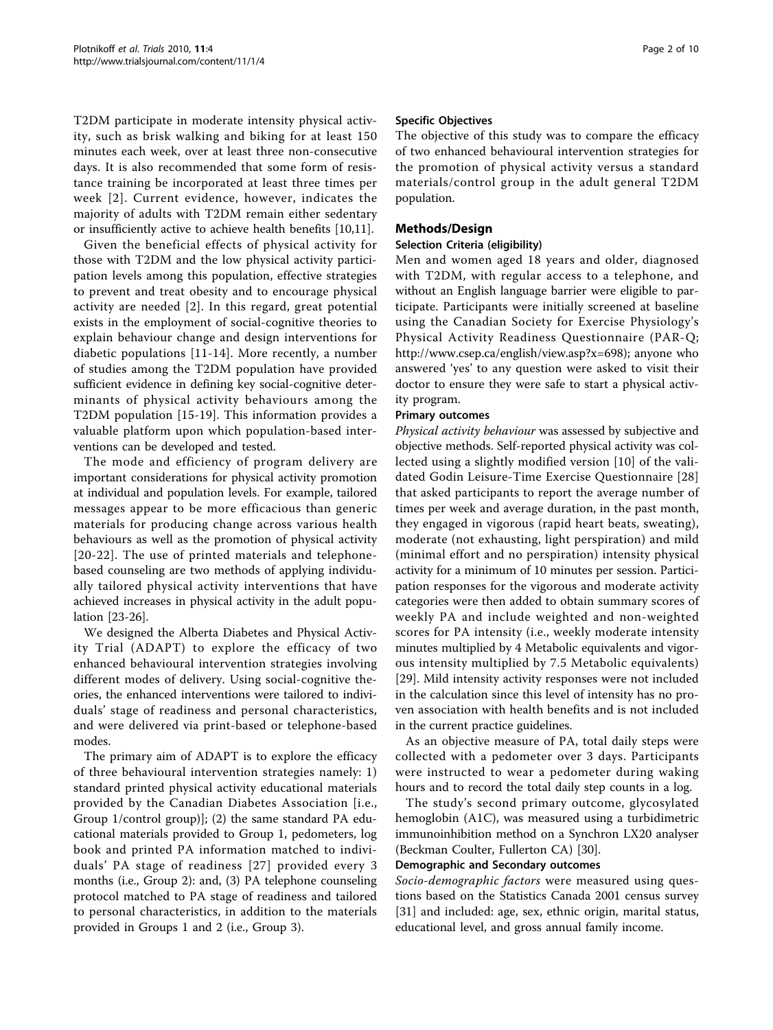T2DM participate in moderate intensity physical activity, such as brisk walking and biking for at least 150 minutes each week, over at least three non-consecutive days. It is also recommended that some form of resistance training be incorporated at least three times per week [[2](#page-7-0)]. Current evidence, however, indicates the majority of adults with T2DM remain either sedentary or insufficiently active to achieve health benefits [\[10,11\]](#page-7-0).

Given the beneficial effects of physical activity for those with T2DM and the low physical activity participation levels among this population, effective strategies to prevent and treat obesity and to encourage physical activity are needed [[2](#page-7-0)]. In this regard, great potential exists in the employment of social-cognitive theories to explain behaviour change and design interventions for diabetic populations [[11](#page-7-0)-[14](#page-7-0)]. More recently, a number of studies among the T2DM population have provided sufficient evidence in defining key social-cognitive determinants of physical activity behaviours among the T2DM population [[15-](#page-7-0)[19\]](#page-8-0). This information provides a valuable platform upon which population-based interventions can be developed and tested.

The mode and efficiency of program delivery are important considerations for physical activity promotion at individual and population levels. For example, tailored messages appear to be more efficacious than generic materials for producing change across various health behaviours as well as the promotion of physical activity [[20-22\]](#page-8-0). The use of printed materials and telephonebased counseling are two methods of applying individually tailored physical activity interventions that have achieved increases in physical activity in the adult population [\[23-26](#page-8-0)].

We designed the Alberta Diabetes and Physical Activity Trial (ADAPT) to explore the efficacy of two enhanced behavioural intervention strategies involving different modes of delivery. Using social-cognitive theories, the enhanced interventions were tailored to individuals' stage of readiness and personal characteristics, and were delivered via print-based or telephone-based modes.

The primary aim of ADAPT is to explore the efficacy of three behavioural intervention strategies namely: 1) standard printed physical activity educational materials provided by the Canadian Diabetes Association [i.e., Group 1/control group)]; (2) the same standard PA educational materials provided to Group 1, pedometers, log book and printed PA information matched to individuals' PA stage of readiness [[27\]](#page-8-0) provided every 3 months (i.e., Group 2): and, (3) PA telephone counseling protocol matched to PA stage of readiness and tailored to personal characteristics, in addition to the materials provided in Groups 1 and 2 (i.e., Group 3).

#### Specific Objectives

The objective of this study was to compare the efficacy of two enhanced behavioural intervention strategies for the promotion of physical activity versus a standard materials/control group in the adult general T2DM population.

# Methods/Design

#### Selection Criteria (eligibility)

Men and women aged 18 years and older, diagnosed with T2DM, with regular access to a telephone, and without an English language barrier were eligible to participate. Participants were initially screened at baseline using the Canadian Society for Exercise Physiology's Physical Activity Readiness Questionnaire (PAR-Q; <http://www.csep.ca/english/view.asp?x=698>); anyone who answered 'yes' to any question were asked to visit their doctor to ensure they were safe to start a physical activity program.

## Primary outcomes

Physical activity behaviour was assessed by subjective and objective methods. Self-reported physical activity was collected using a slightly modified version [\[10](#page-7-0)] of the validated Godin Leisure-Time Exercise Questionnaire [[28](#page-8-0)] that asked participants to report the average number of times per week and average duration, in the past month, they engaged in vigorous (rapid heart beats, sweating), moderate (not exhausting, light perspiration) and mild (minimal effort and no perspiration) intensity physical activity for a minimum of 10 minutes per session. Participation responses for the vigorous and moderate activity categories were then added to obtain summary scores of weekly PA and include weighted and non-weighted scores for PA intensity (i.e., weekly moderate intensity minutes multiplied by 4 Metabolic equivalents and vigorous intensity multiplied by 7.5 Metabolic equivalents) [[29\]](#page-8-0). Mild intensity activity responses were not included in the calculation since this level of intensity has no proven association with health benefits and is not included in the current practice guidelines.

As an objective measure of PA, total daily steps were collected with a pedometer over 3 days. Participants were instructed to wear a pedometer during waking hours and to record the total daily step counts in a log.

The study's second primary outcome, glycosylated hemoglobin (A1C), was measured using a turbidimetric immunoinhibition method on a Synchron LX20 analyser (Beckman Coulter, Fullerton CA) [[30\]](#page-8-0).

#### Demographic and Secondary outcomes

Socio-demographic factors were measured using questions based on the Statistics Canada 2001 census survey [[31\]](#page-8-0) and included: age, sex, ethnic origin, marital status, educational level, and gross annual family income.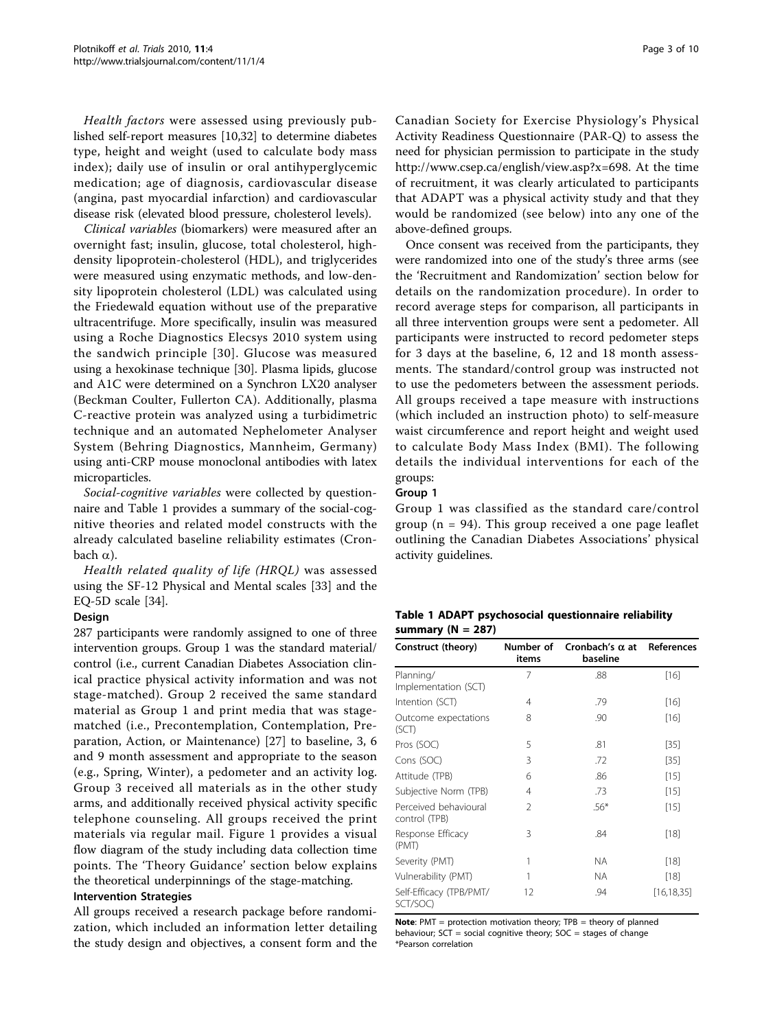Health factors were assessed using previously published self-report measures [\[10](#page-7-0)[,32](#page-8-0)] to determine diabetes type, height and weight (used to calculate body mass index); daily use of insulin or oral antihyperglycemic medication; age of diagnosis, cardiovascular disease (angina, past myocardial infarction) and cardiovascular disease risk (elevated blood pressure, cholesterol levels).

Clinical variables (biomarkers) were measured after an overnight fast; insulin, glucose, total cholesterol, highdensity lipoprotein-cholesterol (HDL), and triglycerides were measured using enzymatic methods, and low-density lipoprotein cholesterol (LDL) was calculated using the Friedewald equation without use of the preparative ultracentrifuge. More specifically, insulin was measured using a Roche Diagnostics Elecsys 2010 system using the sandwich principle [[30](#page-8-0)]. Glucose was measured using a hexokinase technique [\[30](#page-8-0)]. Plasma lipids, glucose and A1C were determined on a Synchron LX20 analyser (Beckman Coulter, Fullerton CA). Additionally, plasma C-reactive protein was analyzed using a turbidimetric technique and an automated Nephelometer Analyser System (Behring Diagnostics, Mannheim, Germany) using anti-CRP mouse monoclonal antibodies with latex microparticles.

Social-cognitive variables were collected by questionnaire and Table 1 provides a summary of the social-cognitive theories and related model constructs with the already calculated baseline reliability estimates (Cronbach  $\alpha$ ).

Health related quality of life (HRQL) was assessed using the SF-12 Physical and Mental scales [[33\]](#page-8-0) and the EQ-5D scale [\[34](#page-8-0)].

# Design

287 participants were randomly assigned to one of three intervention groups. Group 1 was the standard material/ control (i.e., current Canadian Diabetes Association clinical practice physical activity information and was not stage-matched). Group 2 received the same standard material as Group 1 and print media that was stagematched (i.e., Precontemplation, Contemplation, Preparation, Action, or Maintenance) [\[27](#page-8-0)] to baseline, 3, 6 and 9 month assessment and appropriate to the season (e.g., Spring, Winter), a pedometer and an activity log. Group 3 received all materials as in the other study arms, and additionally received physical activity specific telephone counseling. All groups received the print materials via regular mail. Figure [1](#page-3-0) provides a visual flow diagram of the study including data collection time points. The 'Theory Guidance' section below explains the theoretical underpinnings of the stage-matching. Intervention Strategies

All groups received a research package before randomization, which included an information letter detailing the study design and objectives, a consent form and the

Canadian Society for Exercise Physiology's Physical Activity Readiness Questionnaire (PAR-Q) to assess the need for physician permission to participate in the study <http://www.csep.ca/english/view.asp?x=698>. At the time of recruitment, it was clearly articulated to participants that ADAPT was a physical activity study and that they would be randomized (see below) into any one of the above-defined groups.

Once consent was received from the participants, they were randomized into one of the study's three arms (see the 'Recruitment and Randomization' section below for details on the randomization procedure). In order to record average steps for comparison, all participants in all three intervention groups were sent a pedometer. All participants were instructed to record pedometer steps for 3 days at the baseline, 6, 12 and 18 month assessments. The standard/control group was instructed not to use the pedometers between the assessment periods. All groups received a tape measure with instructions (which included an instruction photo) to self-measure waist circumference and report height and weight used to calculate Body Mass Index (BMI). The following details the individual interventions for each of the groups:

## Group 1

Group 1 was classified as the standard care/control group ( $n = 94$ ). This group received a one page leaflet outlining the Canadian Diabetes Associations' physical activity guidelines.

| Table 1 ADAPT psychosocial questionnaire reliability |  |  |
|------------------------------------------------------|--|--|
| summary ( $N = 287$ )                                |  |  |

| Construct (theory)                     | Number of<br>items | Cronbach's $\alpha$ at<br>baseline | <b>References</b> |
|----------------------------------------|--------------------|------------------------------------|-------------------|
| Planning/<br>Implementation (SCT)      | 7                  | .88                                | $[16]$            |
| Intention (SCT)                        | 4                  | .79                                | $[16]$            |
| Outcome expectations<br>(SCT)          | 8                  | .90                                | $[16]$            |
| Pros (SOC)                             | 5                  | .81                                | $[35]$            |
| Cons (SOC)                             | 3                  | .72                                | $[35]$            |
| Attitude (TPB)                         | 6                  | .86                                | $[15]$            |
| Subjective Norm (TPB)                  | 4                  | .73                                | $[15]$            |
| Perceived behavioural<br>control (TPB) | $\mathfrak{D}$     | $.56*$                             | $[15]$            |
| Response Efficacy<br>(PMT)             | 3                  | .84                                | [18]              |
| Severity (PMT)                         | 1                  | <b>NA</b>                          | [18]              |
| Vulnerability (PMT)                    | 1                  | <b>NA</b>                          | [18]              |
| Self-Efficacy (TPB/PMT/<br>SCT/SOC)    | 12                 | .94                                | [16,18,35]        |

**Note:** PMT = protection motivation theory;  $TPB =$  theory of planned behaviour; SCT = social cognitive theory; SOC = stages of change \*Pearson correlation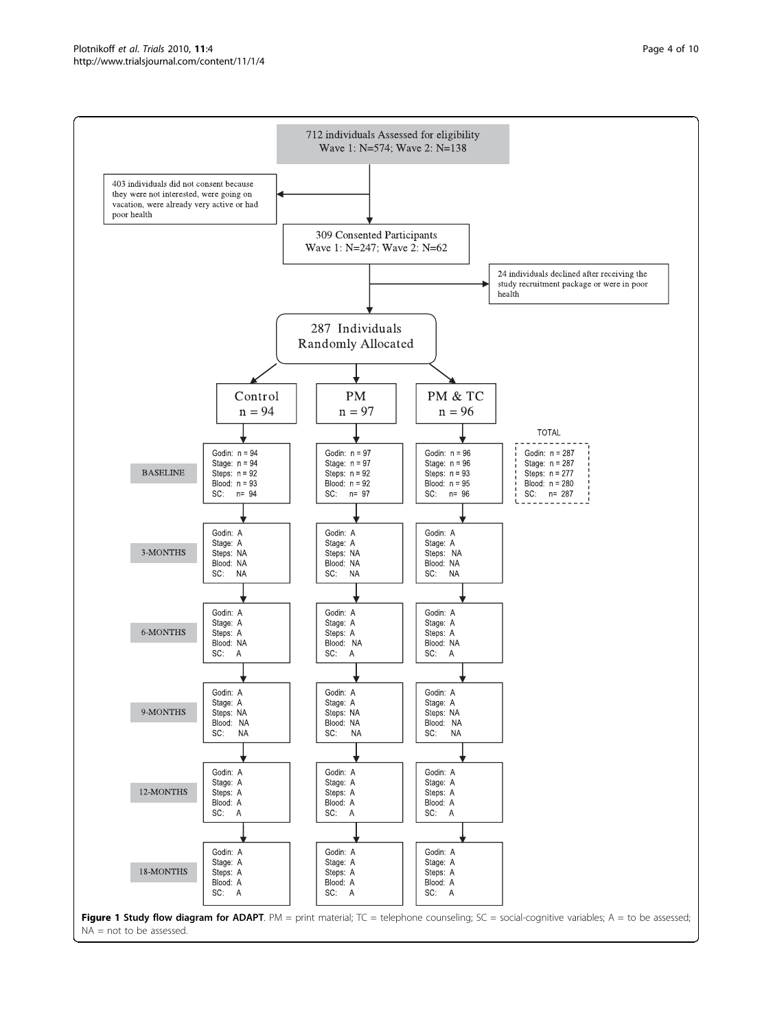<span id="page-3-0"></span>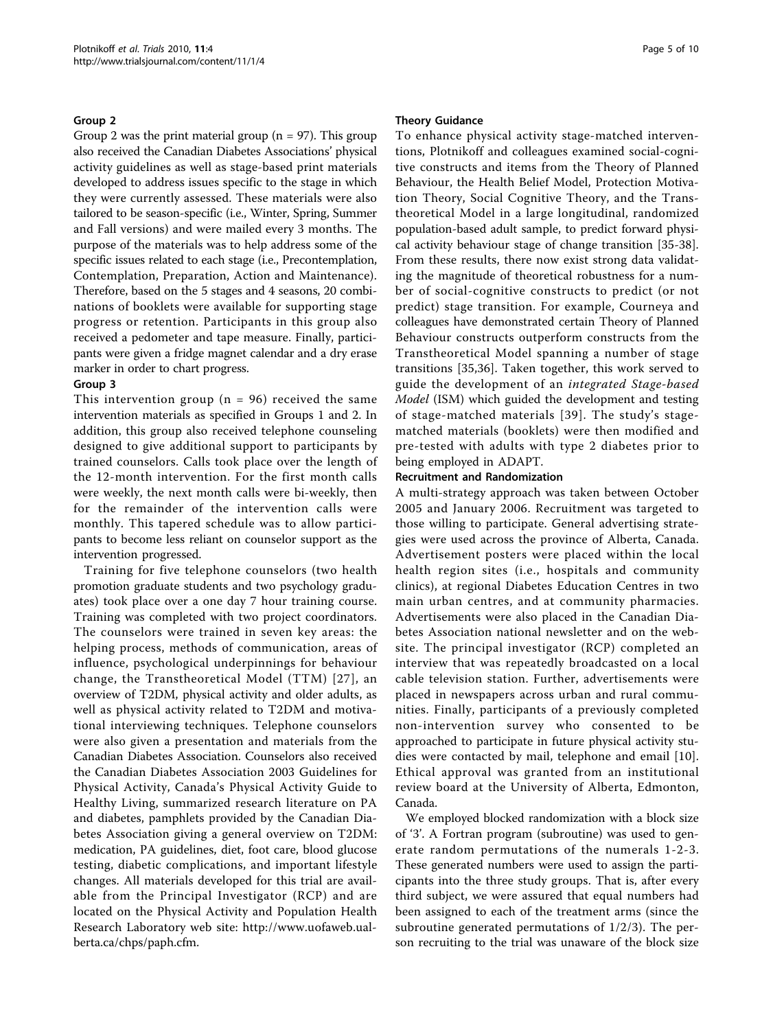## Group 2

Group 2 was the print material group ( $n = 97$ ). This group also received the Canadian Diabetes Associations' physical activity guidelines as well as stage-based print materials developed to address issues specific to the stage in which they were currently assessed. These materials were also tailored to be season-specific (i.e., Winter, Spring, Summer and Fall versions) and were mailed every 3 months. The purpose of the materials was to help address some of the specific issues related to each stage (i.e., Precontemplation, Contemplation, Preparation, Action and Maintenance). Therefore, based on the 5 stages and 4 seasons, 20 combinations of booklets were available for supporting stage progress or retention. Participants in this group also received a pedometer and tape measure. Finally, participants were given a fridge magnet calendar and a dry erase marker in order to chart progress.

#### Group 3

This intervention group ( $n = 96$ ) received the same intervention materials as specified in Groups 1 and 2. In addition, this group also received telephone counseling designed to give additional support to participants by trained counselors. Calls took place over the length of the 12-month intervention. For the first month calls were weekly, the next month calls were bi-weekly, then for the remainder of the intervention calls were monthly. This tapered schedule was to allow participants to become less reliant on counselor support as the intervention progressed.

Training for five telephone counselors (two health promotion graduate students and two psychology graduates) took place over a one day 7 hour training course. Training was completed with two project coordinators. The counselors were trained in seven key areas: the helping process, methods of communication, areas of influence, psychological underpinnings for behaviour change, the Transtheoretical Model (TTM) [[27](#page-8-0)], an overview of T2DM, physical activity and older adults, as well as physical activity related to T2DM and motivational interviewing techniques. Telephone counselors were also given a presentation and materials from the Canadian Diabetes Association. Counselors also received the Canadian Diabetes Association 2003 Guidelines for Physical Activity, Canada's Physical Activity Guide to Healthy Living, summarized research literature on PA and diabetes, pamphlets provided by the Canadian Diabetes Association giving a general overview on T2DM: medication, PA guidelines, diet, foot care, blood glucose testing, diabetic complications, and important lifestyle changes. All materials developed for this trial are available from the Principal Investigator (RCP) and are located on the Physical Activity and Population Health Research Laboratory web site: [http://www.uofaweb.ual](http://www.uofaweb.ualberta.ca/chps/paph.cfm)[berta.ca/chps/paph.cfm](http://www.uofaweb.ualberta.ca/chps/paph.cfm).

#### Theory Guidance

To enhance physical activity stage-matched interventions, Plotnikoff and colleagues examined social-cognitive constructs and items from the Theory of Planned Behaviour, the Health Belief Model, Protection Motivation Theory, Social Cognitive Theory, and the Transtheoretical Model in a large longitudinal, randomized population-based adult sample, to predict forward physical activity behaviour stage of change transition [[35-38](#page-8-0)]. From these results, there now exist strong data validating the magnitude of theoretical robustness for a number of social-cognitive constructs to predict (or not predict) stage transition. For example, Courneya and colleagues have demonstrated certain Theory of Planned Behaviour constructs outperform constructs from the Transtheoretical Model spanning a number of stage transitions [[35,36](#page-8-0)]. Taken together, this work served to guide the development of an integrated Stage-based Model (ISM) which guided the development and testing of stage-matched materials [[39\]](#page-8-0). The study's stagematched materials (booklets) were then modified and pre-tested with adults with type 2 diabetes prior to being employed in ADAPT.

## Recruitment and Randomization

A multi-strategy approach was taken between October 2005 and January 2006. Recruitment was targeted to those willing to participate. General advertising strategies were used across the province of Alberta, Canada. Advertisement posters were placed within the local health region sites (i.e., hospitals and community clinics), at regional Diabetes Education Centres in two main urban centres, and at community pharmacies. Advertisements were also placed in the Canadian Diabetes Association national newsletter and on the website. The principal investigator (RCP) completed an interview that was repeatedly broadcasted on a local cable television station. Further, advertisements were placed in newspapers across urban and rural communities. Finally, participants of a previously completed non-intervention survey who consented to be approached to participate in future physical activity studies were contacted by mail, telephone and email [[10](#page-7-0)]. Ethical approval was granted from an institutional review board at the University of Alberta, Edmonton, Canada.

We employed blocked randomization with a block size of '3'. A Fortran program (subroutine) was used to generate random permutations of the numerals 1-2-3. These generated numbers were used to assign the participants into the three study groups. That is, after every third subject, we were assured that equal numbers had been assigned to each of the treatment arms (since the subroutine generated permutations of 1/2/3). The person recruiting to the trial was unaware of the block size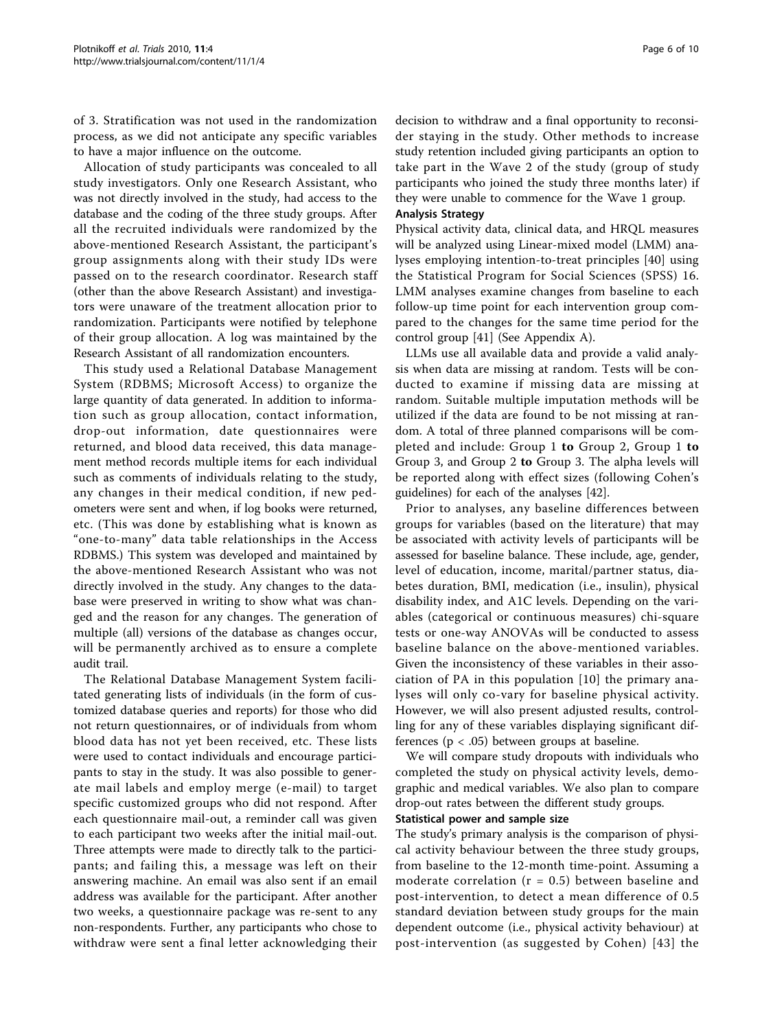of 3. Stratification was not used in the randomization process, as we did not anticipate any specific variables to have a major influence on the outcome.

Allocation of study participants was concealed to all study investigators. Only one Research Assistant, who was not directly involved in the study, had access to the database and the coding of the three study groups. After all the recruited individuals were randomized by the above-mentioned Research Assistant, the participant's group assignments along with their study IDs were passed on to the research coordinator. Research staff (other than the above Research Assistant) and investigators were unaware of the treatment allocation prior to randomization. Participants were notified by telephone of their group allocation. A log was maintained by the Research Assistant of all randomization encounters.

This study used a Relational Database Management System (RDBMS; Microsoft Access) to organize the large quantity of data generated. In addition to information such as group allocation, contact information, drop-out information, date questionnaires were returned, and blood data received, this data management method records multiple items for each individual such as comments of individuals relating to the study, any changes in their medical condition, if new pedometers were sent and when, if log books were returned, etc. (This was done by establishing what is known as "one-to-many" data table relationships in the Access RDBMS.) This system was developed and maintained by the above-mentioned Research Assistant who was not directly involved in the study. Any changes to the database were preserved in writing to show what was changed and the reason for any changes. The generation of multiple (all) versions of the database as changes occur, will be permanently archived as to ensure a complete audit trail.

The Relational Database Management System facilitated generating lists of individuals (in the form of customized database queries and reports) for those who did not return questionnaires, or of individuals from whom blood data has not yet been received, etc. These lists were used to contact individuals and encourage participants to stay in the study. It was also possible to generate mail labels and employ merge (e-mail) to target specific customized groups who did not respond. After each questionnaire mail-out, a reminder call was given to each participant two weeks after the initial mail-out. Three attempts were made to directly talk to the participants; and failing this, a message was left on their answering machine. An email was also sent if an email address was available for the participant. After another two weeks, a questionnaire package was re-sent to any non-respondents. Further, any participants who chose to withdraw were sent a final letter acknowledging their

decision to withdraw and a final opportunity to reconsider staying in the study. Other methods to increase study retention included giving participants an option to take part in the Wave 2 of the study (group of study participants who joined the study three months later) if they were unable to commence for the Wave 1 group.

#### Analysis Strategy

Physical activity data, clinical data, and HRQL measures will be analyzed using Linear-mixed model (LMM) analyses employing intention-to-treat principles [[40\]](#page-8-0) using the Statistical Program for Social Sciences (SPSS) 16. LMM analyses examine changes from baseline to each follow-up time point for each intervention group compared to the changes for the same time period for the control group [[41](#page-8-0)] (See Appendix A).

LLMs use all available data and provide a valid analysis when data are missing at random. Tests will be conducted to examine if missing data are missing at random. Suitable multiple imputation methods will be utilized if the data are found to be not missing at random. A total of three planned comparisons will be completed and include: Group 1 to Group 2, Group 1 to Group 3, and Group 2 to Group 3. The alpha levels will be reported along with effect sizes (following Cohen's guidelines) for each of the analyses [[42\]](#page-8-0).

Prior to analyses, any baseline differences between groups for variables (based on the literature) that may be associated with activity levels of participants will be assessed for baseline balance. These include, age, gender, level of education, income, marital/partner status, diabetes duration, BMI, medication (i.e., insulin), physical disability index, and A1C levels. Depending on the variables (categorical or continuous measures) chi-square tests or one-way ANOVAs will be conducted to assess baseline balance on the above-mentioned variables. Given the inconsistency of these variables in their association of PA in this population [\[10](#page-7-0)] the primary analyses will only co-vary for baseline physical activity. However, we will also present adjusted results, controlling for any of these variables displaying significant differences ( $p < .05$ ) between groups at baseline.

We will compare study dropouts with individuals who completed the study on physical activity levels, demographic and medical variables. We also plan to compare drop-out rates between the different study groups.

#### Statistical power and sample size

The study's primary analysis is the comparison of physical activity behaviour between the three study groups, from baseline to the 12-month time-point. Assuming a moderate correlation ( $r = 0.5$ ) between baseline and post-intervention, to detect a mean difference of 0.5 standard deviation between study groups for the main dependent outcome (i.e., physical activity behaviour) at post-intervention (as suggested by Cohen) [[43](#page-8-0)] the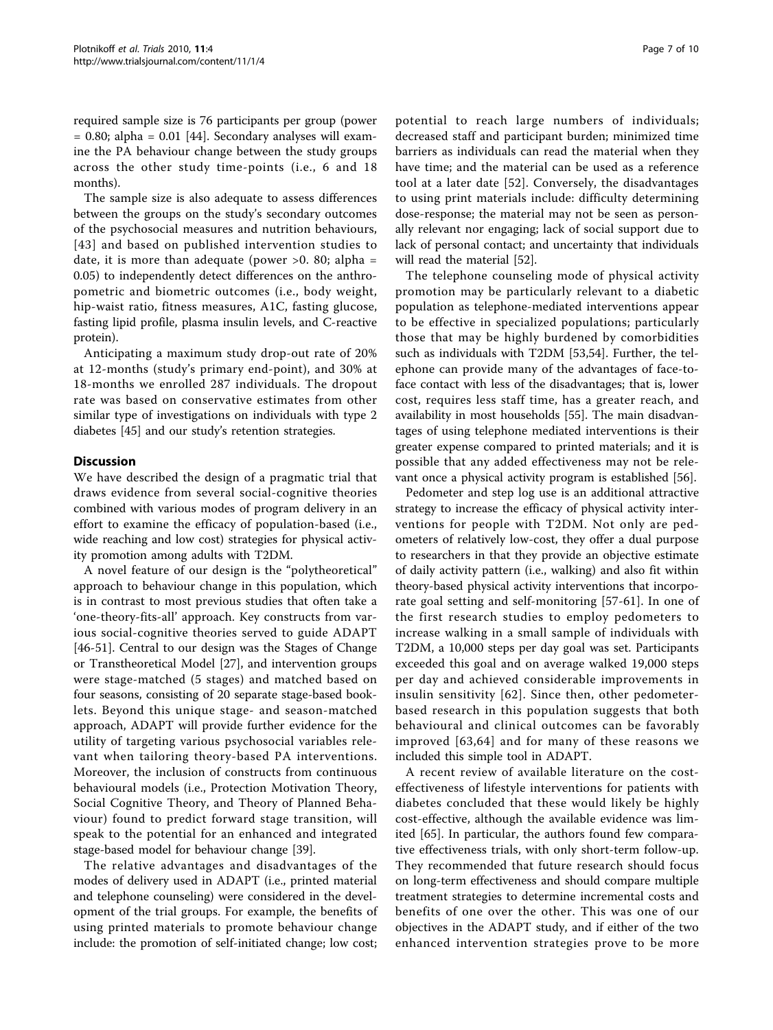required sample size is 76 participants per group (power  $= 0.80$ ; alpha  $= 0.01$  [\[44](#page-8-0)]. Secondary analyses will examine the PA behaviour change between the study groups across the other study time-points (i.e., 6 and 18 months).

The sample size is also adequate to assess differences between the groups on the study's secondary outcomes of the psychosocial measures and nutrition behaviours, [[43\]](#page-8-0) and based on published intervention studies to date, it is more than adequate (power  $>0$ . 80; alpha = 0.05) to independently detect differences on the anthropometric and biometric outcomes (i.e., body weight, hip-waist ratio, fitness measures, A1C, fasting glucose, fasting lipid profile, plasma insulin levels, and C-reactive protein).

Anticipating a maximum study drop-out rate of 20% at 12-months (study's primary end-point), and 30% at 18-months we enrolled 287 individuals. The dropout rate was based on conservative estimates from other similar type of investigations on individuals with type 2 diabetes [[45\]](#page-8-0) and our study's retention strategies.

## **Discussion**

We have described the design of a pragmatic trial that draws evidence from several social-cognitive theories combined with various modes of program delivery in an effort to examine the efficacy of population-based (i.e., wide reaching and low cost) strategies for physical activity promotion among adults with T2DM.

A novel feature of our design is the "polytheoretical" approach to behaviour change in this population, which is in contrast to most previous studies that often take a 'one-theory-fits-all' approach. Key constructs from various social-cognitive theories served to guide ADAPT [[46-51](#page-8-0)]. Central to our design was the Stages of Change or Transtheoretical Model [\[27](#page-8-0)], and intervention groups were stage-matched (5 stages) and matched based on four seasons, consisting of 20 separate stage-based booklets. Beyond this unique stage- and season-matched approach, ADAPT will provide further evidence for the utility of targeting various psychosocial variables relevant when tailoring theory-based PA interventions. Moreover, the inclusion of constructs from continuous behavioural models (i.e., Protection Motivation Theory, Social Cognitive Theory, and Theory of Planned Behaviour) found to predict forward stage transition, will speak to the potential for an enhanced and integrated stage-based model for behaviour change [\[39](#page-8-0)].

The relative advantages and disadvantages of the modes of delivery used in ADAPT (i.e., printed material and telephone counseling) were considered in the development of the trial groups. For example, the benefits of using printed materials to promote behaviour change include: the promotion of self-initiated change; low cost; potential to reach large numbers of individuals; decreased staff and participant burden; minimized time barriers as individuals can read the material when they have time; and the material can be used as a reference tool at a later date [[52\]](#page-8-0). Conversely, the disadvantages to using print materials include: difficulty determining dose-response; the material may not be seen as personally relevant nor engaging; lack of social support due to lack of personal contact; and uncertainty that individuals will read the material [[52\]](#page-8-0).

The telephone counseling mode of physical activity promotion may be particularly relevant to a diabetic population as telephone-mediated interventions appear to be effective in specialized populations; particularly those that may be highly burdened by comorbidities such as individuals with T2DM [[53,54\]](#page-8-0). Further, the telephone can provide many of the advantages of face-toface contact with less of the disadvantages; that is, lower cost, requires less staff time, has a greater reach, and availability in most households [[55\]](#page-8-0). The main disadvantages of using telephone mediated interventions is their greater expense compared to printed materials; and it is possible that any added effectiveness may not be relevant once a physical activity program is established [[56\]](#page-8-0).

Pedometer and step log use is an additional attractive strategy to increase the efficacy of physical activity interventions for people with T2DM. Not only are pedometers of relatively low-cost, they offer a dual purpose to researchers in that they provide an objective estimate of daily activity pattern (i.e., walking) and also fit within theory-based physical activity interventions that incorporate goal setting and self-monitoring [[57-61\]](#page-8-0). In one of the first research studies to employ pedometers to increase walking in a small sample of individuals with T2DM, a 10,000 steps per day goal was set. Participants exceeded this goal and on average walked 19,000 steps per day and achieved considerable improvements in insulin sensitivity [[62](#page-8-0)]. Since then, other pedometerbased research in this population suggests that both behavioural and clinical outcomes can be favorably improved [[63,64](#page-9-0)] and for many of these reasons we included this simple tool in ADAPT.

A recent review of available literature on the costeffectiveness of lifestyle interventions for patients with diabetes concluded that these would likely be highly cost-effective, although the available evidence was limited [[65\]](#page-9-0). In particular, the authors found few comparative effectiveness trials, with only short-term follow-up. They recommended that future research should focus on long-term effectiveness and should compare multiple treatment strategies to determine incremental costs and benefits of one over the other. This was one of our objectives in the ADAPT study, and if either of the two enhanced intervention strategies prove to be more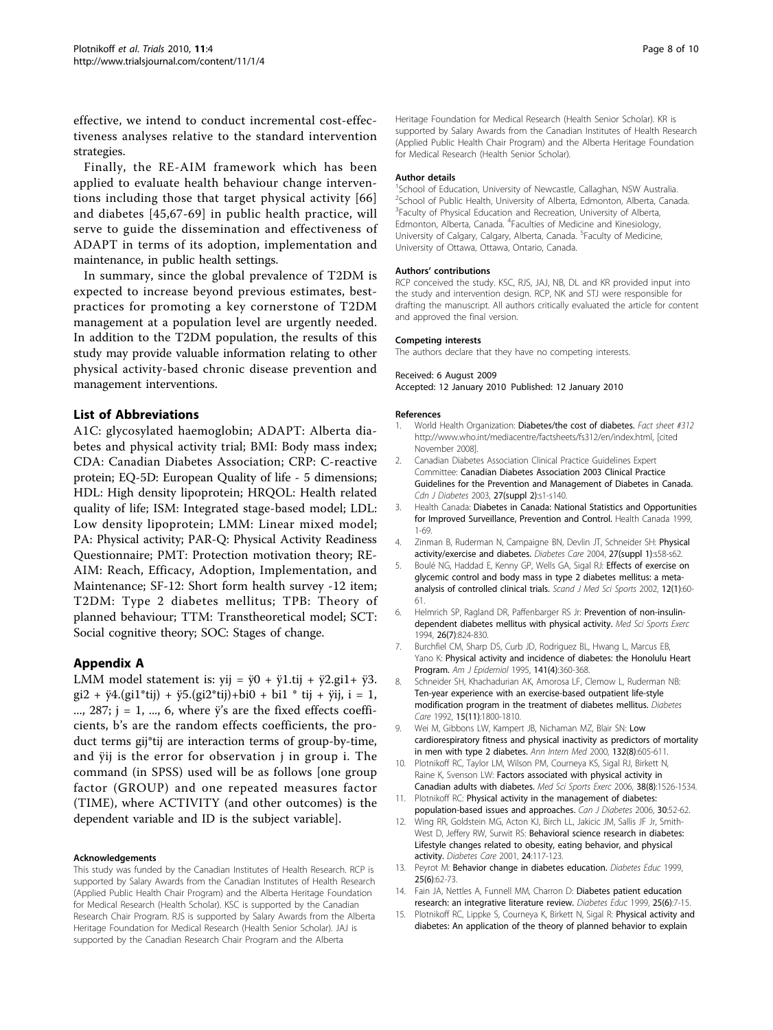<span id="page-7-0"></span>effective, we intend to conduct incremental cost-effectiveness analyses relative to the standard intervention strategies.

Finally, the RE-AIM framework which has been applied to evaluate health behaviour change interventions including those that target physical activity [[66](#page-9-0)] and diabetes [[45](#page-8-0),[67](#page-9-0)-[69](#page-9-0)] in public health practice, will serve to guide the dissemination and effectiveness of ADAPT in terms of its adoption, implementation and maintenance, in public health settings.

In summary, since the global prevalence of T2DM is expected to increase beyond previous estimates, bestpractices for promoting a key cornerstone of T2DM management at a population level are urgently needed. In addition to the T2DM population, the results of this study may provide valuable information relating to other physical activity-based chronic disease prevention and management interventions.

# List of Abbreviations

A1C: glycosylated haemoglobin; ADAPT: Alberta diabetes and physical activity trial; BMI: Body mass index; CDA: Canadian Diabetes Association; CRP: C-reactive protein; EQ-5D: European Quality of life - 5 dimensions; HDL: High density lipoprotein; HRQOL: Health related quality of life; ISM: Integrated stage-based model; LDL: Low density lipoprotein; LMM: Linear mixed model; PA: Physical activity; PAR-Q: Physical Activity Readiness Questionnaire; PMT: Protection motivation theory; RE-AIM: Reach, Efficacy, Adoption, Implementation, and Maintenance; SF-12: Short form health survey -12 item; T2DM: Type 2 diabetes mellitus; TPB: Theory of planned behaviour; TTM: Transtheoretical model; SCT: Social cognitive theory; SOC: Stages of change.

#### Appendix A

LMM model statement is: yij =  $\ddot{y}0 + \ddot{y}1$ .tij +  $\ddot{y}2$ .gi1+  $\ddot{y}3$ .  $gi2 + \ddot{y}4.(gi1*tij) + \ddot{y}5.(gi2*tij)+bi0 + bi1*tij + \ddot{y}ij, i = 1,$ ..., 287;  $j = 1, ..., 6$ , where  $\ddot{y}$ 's are the fixed effects coefficients, b's are the random effects coefficients, the product terms gij\*tij are interaction terms of group-by-time, and ÿij is the error for observation j in group i. The command (in SPSS) used will be as follows [one group factor (GROUP) and one repeated measures factor (TIME), where ACTIVITY (and other outcomes) is the dependent variable and ID is the subject variable].

#### Acknowledgements

This study was funded by the Canadian Institutes of Health Research. RCP is supported by Salary Awards from the Canadian Institutes of Health Research (Applied Public Health Chair Program) and the Alberta Heritage Foundation for Medical Research (Health Scholar). KSC is supported by the Canadian Research Chair Program. RJS is supported by Salary Awards from the Alberta Heritage Foundation for Medical Research (Health Senior Scholar). JAJ is supported by the Canadian Research Chair Program and the Alberta

Heritage Foundation for Medical Research (Health Senior Scholar). KR is supported by Salary Awards from the Canadian Institutes of Health Research (Applied Public Health Chair Program) and the Alberta Heritage Foundation for Medical Research (Health Senior Scholar).

#### Author details

<sup>1</sup>School of Education, University of Newcastle, Callaghan, NSW Australia. <sup>2</sup>School of Public Health, University of Alberta, Edmonton, Alberta, Canada <sup>3</sup> Faculty of Physical Education and Recreation, University of Alberta Edmonton, Alberta, Canada. <sup>4</sup> Faculties of Medicine and Kinesiology, University of Calgary, Calgary, Alberta, Canada. <sup>5</sup>Faculty of Medicine, University of Ottawa, Ottawa, Ontario, Canada.

#### Authors' contributions

RCP conceived the study. KSC, RJS, JAJ, NB, DL and KR provided input into the study and intervention design. RCP, NK and STJ were responsible for drafting the manuscript. All authors critically evaluated the article for content and approved the final version.

#### Competing interests

The authors declare that they have no competing interests.

#### Received: 6 August 2009

Accepted: 12 January 2010 Published: 12 January 2010

#### References

- 1. World Health Organization: Diabetes/the cost of diabetes. Fact sheet #312 [http://www.who.int/mediacentre/factsheets/fs312/en/index.html,](http://www.who.int/mediacentre/factsheets/fs312/en/index.html) [cited November 2008].
- 2. Canadian Diabetes Association Clinical Practice Guidelines Expert Committee: Canadian Diabetes Association 2003 Clinical Practice Guidelines for the Prevention and Management of Diabetes in Canada. Cdn J Diabetes 2003, 27(suppl 2):s1-s140.
- 3. Health Canada: Diabetes in Canada: National Statistics and Opportunities for Improved Surveillance, Prevention and Control. Health Canada 1999, 1-69.
- 4. Zinman B, Ruderman N, Campaigne BN, Devlin JT, Schneider SH: [Physical](http://www.ncbi.nlm.nih.gov/pubmed/14693927?dopt=Abstract) [activity/exercise and diabetes.](http://www.ncbi.nlm.nih.gov/pubmed/14693927?dopt=Abstract) Diabetes Care 2004, 27(suppl 1):s58-s62.
- 5. Boulé NG, Haddad E, Kenny GP, Wells GA, Sigal RJ: Effects of exercise on glycemic control and body mass in type 2 diabetes mellitus: a metaanalysis of controlled clinical trials. Scand J Med Sci Sports 2002, 12(1):60-61.
- 6. Helmrich SP, Ragland DR, Paffenbarger RS Jr: [Prevention of non-insulin](http://www.ncbi.nlm.nih.gov/pubmed/7934754?dopt=Abstract)[dependent diabetes mellitus with physical activity.](http://www.ncbi.nlm.nih.gov/pubmed/7934754?dopt=Abstract) Med Sci Sports Exerc 1994, 26(7):824-830.
- 7. Burchfiel CM, Sharp DS, Curb JD, Rodriguez BL, Hwang L, Marcus EB, Yano K: [Physical activity and incidence of diabetes: the Honolulu Heart](http://www.ncbi.nlm.nih.gov/pubmed/7840114?dopt=Abstract) [Program.](http://www.ncbi.nlm.nih.gov/pubmed/7840114?dopt=Abstract) Am J Epidemiol 1995, 141(4):360-368.
- 8. Schneider SH, Khachadurian AK, Amorosa LF, Clemow L, Ruderman NB: [Ten-year experience with an exercise-based outpatient life-style](http://www.ncbi.nlm.nih.gov/pubmed/1468318?dopt=Abstract) [modification program in the treatment of diabetes mellitus.](http://www.ncbi.nlm.nih.gov/pubmed/1468318?dopt=Abstract) Diabetes Care 1992, 15(11):1800-1810.
- 9. Wei M, Gibbons LW, Kampert JB, Nichaman MZ, Blair SN: [Low](http://www.ncbi.nlm.nih.gov/pubmed/10766678?dopt=Abstract) [cardiorespiratory fitness and physical inactivity as predictors of mortality](http://www.ncbi.nlm.nih.gov/pubmed/10766678?dopt=Abstract) [in men with type 2 diabetes.](http://www.ncbi.nlm.nih.gov/pubmed/10766678?dopt=Abstract) Ann Intern Med 2000, 132(8):605-611.
- 10. Plotnikoff RC, Taylor LM, Wilson PM, Courneya KS, Sigal RJ, Birkett N, Raine K, Svenson LW: [Factors associated with physical activity in](http://www.ncbi.nlm.nih.gov/pubmed/16888470?dopt=Abstract) [Canadian adults with diabetes.](http://www.ncbi.nlm.nih.gov/pubmed/16888470?dopt=Abstract) Med Sci Sports Exerc 2006, 38(8):1526-1534.
- 11. Plotnikoff RC: Physical activity in the management of diabetes: population-based issues and approaches. Can J Diabetes 2006, 30:52-62.
- 12. Wing RR, Goldstein MG, Acton KJ, Birch LL, Jakicic JM, Sallis JF Jr, Smith-West D, Jeffery RW, Surwit RS: [Behavioral science research in diabetes:](http://www.ncbi.nlm.nih.gov/pubmed/11194216?dopt=Abstract) [Lifestyle changes related to obesity, eating behavior, and physical](http://www.ncbi.nlm.nih.gov/pubmed/11194216?dopt=Abstract) [activity.](http://www.ncbi.nlm.nih.gov/pubmed/11194216?dopt=Abstract) Diabetes Care 2001, 24:117-123.
- 13. Peyrot M: [Behavior change in diabetes education.](http://www.ncbi.nlm.nih.gov/pubmed/10711086?dopt=Abstract) Diabetes Educ 1999, 25(6):62-73.
- 14. Fain JA, Nettles A, Funnell MM, Charron D: [Diabetes patient education](http://www.ncbi.nlm.nih.gov/pubmed/10711080?dopt=Abstract) [research: an integrative literature review.](http://www.ncbi.nlm.nih.gov/pubmed/10711080?dopt=Abstract) Diabetes Educ 1999, 25(6):7-15.
- 15. Plotnikoff RC, Lippke S, Courneya K, Birkett N, Sigal R: Physical activity and diabetes: An application of the theory of planned behavior to explain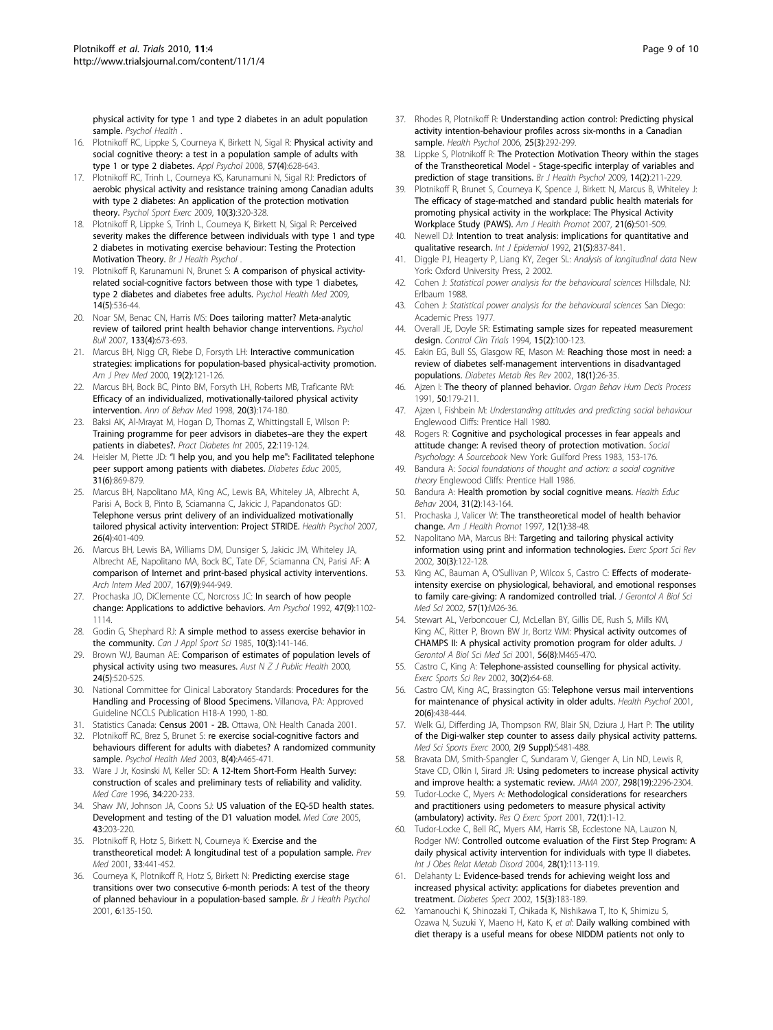<span id="page-8-0"></span>physical activity for type 1 and type 2 diabetes in an adult population sample. Psychol Health

- 16. Plotnikoff RC, Lippke S, Courneya K, Birkett N, Sigal R: Physical activity and social cognitive theory: a test in a population sample of adults with type 1 or type 2 diabetes. Appl Psychol 2008, 57(4):628-643.
- 17. Plotnikoff RC, Trinh L, Courneya KS, Karunamuni N, Sigal RJ: Predictors of aerobic physical activity and resistance training among Canadian adults with type 2 diabetes: An application of the protection motivation theory. Psychol Sport Exerc 2009, 10(3):320-328.
- 18. Plotnikoff R, Lippke S, Trinh L, Courneya K, Birkett N, Sigal R: Perceived severity makes the difference between individuals with type 1 and type 2 diabetes in motivating exercise behaviour: Testing the Protection Motivation Theory. Br J Health Psychol
- 19. Plotnikoff R, Karunamuni N, Brunet S: [A comparison of physical activity](http://www.ncbi.nlm.nih.gov/pubmed/19844832?dopt=Abstract)[related social-cognitive factors between those with type 1 diabetes,](http://www.ncbi.nlm.nih.gov/pubmed/19844832?dopt=Abstract) [type 2 diabetes and diabetes free adults.](http://www.ncbi.nlm.nih.gov/pubmed/19844832?dopt=Abstract) Psychol Health Med 2009, 14(5):536-44.
- 20. Noar SM, Benac CN, Harris MS: [Does tailoring matter? Meta-analytic](http://www.ncbi.nlm.nih.gov/pubmed/17592961?dopt=Abstract) [review of tailored print health behavior change interventions.](http://www.ncbi.nlm.nih.gov/pubmed/17592961?dopt=Abstract) Psychol Bull 2007, 133(4):673-693.
- 21. Marcus BH, Nigg CR, Riebe D, Forsyth LH: [Interactive communication](http://www.ncbi.nlm.nih.gov/pubmed/10913903?dopt=Abstract) [strategies: implications for population-based physical-activity promotion.](http://www.ncbi.nlm.nih.gov/pubmed/10913903?dopt=Abstract) Am J Prev Med 2000, 19(2):121-126.
- 22. Marcus BH, Bock BC, Pinto BM, Forsyth LH, Roberts MB, Traficante RM: Efficacy of an individualized, motivationally-tailored physical activity intervention. Ann of Behav Med 1998, 20(3):174-180.
- 23. Baksi AK, Al-Mrayat M, Hogan D, Thomas Z, Whittingstall E, Wilson P: Training programme for peer advisors in diabetes–are they the expert patients in diabetes?. Pract Diabetes Int 2005, 22:119-124
- 24. Heisler M, Piette JD: "[I help you, and you help me": Facilitated telephone](http://www.ncbi.nlm.nih.gov/pubmed/16288094?dopt=Abstract) [peer support among patients with diabetes.](http://www.ncbi.nlm.nih.gov/pubmed/16288094?dopt=Abstract) Diabetes Educ 2005, 31(6):869-879.
- 25. Marcus BH, Napolitano MA, King AC, Lewis BA, Whiteley JA, Albrecht A, Parisi A, Bock B, Pinto B, Sciamanna C, Jakicic J, Papandonatos GD: [Telephone versus print delivery of an individualized motivationally](http://www.ncbi.nlm.nih.gov/pubmed/17605559?dopt=Abstract) [tailored physical activity intervention: Project STRIDE.](http://www.ncbi.nlm.nih.gov/pubmed/17605559?dopt=Abstract) Health Psychol 2007, 26(4):401-409.
- 26. Marcus BH, Lewis BA, Williams DM, Dunsiger S, Jakicic JM, Whiteley JA, Albrecht AE, Napolitano MA, Bock BC, Tate DF, Sciamanna CN, Parisi AF: [A](http://www.ncbi.nlm.nih.gov/pubmed/17502536?dopt=Abstract) [comparison of Internet and print-based physical activity interventions.](http://www.ncbi.nlm.nih.gov/pubmed/17502536?dopt=Abstract) Arch Intern Med 2007, 167(9):944-949.
- 27. Prochaska JO, DiClemente CC, Norcross JC: [In search of how people](http://www.ncbi.nlm.nih.gov/pubmed/1329589?dopt=Abstract) [change: Applications to addictive behaviors.](http://www.ncbi.nlm.nih.gov/pubmed/1329589?dopt=Abstract) Am Psychol 1992, 47(9):1102-1114.
- 28. Godin G, Shephard RJ: [A simple method to assess exercise behavior in](http://www.ncbi.nlm.nih.gov/pubmed/4053261?dopt=Abstract) [the community.](http://www.ncbi.nlm.nih.gov/pubmed/4053261?dopt=Abstract) Can J Appl Sport Sci 1985, 10(3):141-146.
- 29. Brown WJ, Bauman AE: [Comparison of estimates of population levels of](http://www.ncbi.nlm.nih.gov/pubmed/11109690?dopt=Abstract) [physical activity using two measures.](http://www.ncbi.nlm.nih.gov/pubmed/11109690?dopt=Abstract) Aust  $N Z J$  Public Health 2000, 24(5):520-525.
- 30. National Committee for Clinical Laboratory Standards: Procedures for the Handling and Processing of Blood Specimens. Villanova, PA: Approved Guideline NCCLS Publication H18-A 1990, 1-80.
- 31. Statistics Canada: Census 2001 2B. Ottawa, ON: Health Canada 2001.
- 32. Plotnikoff RC, Brez S, Brunet S: re exercise social-cognitive factors and behaviours different for adults with diabetes? A randomized community sample. Psychol Health Med 2003, 8(4):A465-471.
- 33. Ware J Jr, Kosinski M, Keller SD: [A 12-Item Short-Form Health Survey:](http://www.ncbi.nlm.nih.gov/pubmed/8628042?dopt=Abstract) [construction of scales and preliminary tests of reliability and validity.](http://www.ncbi.nlm.nih.gov/pubmed/8628042?dopt=Abstract) Med Care 1996, 34:220-233.
- 34. Shaw JW, Johnson JA, Coons SJ: [US valuation of the EQ-5D health states.](http://www.ncbi.nlm.nih.gov/pubmed/15725977?dopt=Abstract) [Development and testing of the D1 valuation model.](http://www.ncbi.nlm.nih.gov/pubmed/15725977?dopt=Abstract) Med Care 2005, 43:203-220.
- 35. Plotnikoff R, Hotz S, Birkett N, Courneya K: [Exercise and the](http://www.ncbi.nlm.nih.gov/pubmed/11676586?dopt=Abstract) [transtheoretical model: A longitudinal test of a population sample.](http://www.ncbi.nlm.nih.gov/pubmed/11676586?dopt=Abstract) Prev Med 2001, 33:441-452.
- 36. Courneya K, Plotnikoff R, Hotz S, Birkett N: [Predicting exercise stage](http://www.ncbi.nlm.nih.gov/pubmed/14596730?dopt=Abstract) [transitions over two consecutive 6-month periods: A test of the theory](http://www.ncbi.nlm.nih.gov/pubmed/14596730?dopt=Abstract) [of planned behaviour in a population-based sample.](http://www.ncbi.nlm.nih.gov/pubmed/14596730?dopt=Abstract) Br J Health Psychol 2001, 6:135-150.
- 37. Rhodes R, Plotnikoff R: [Understanding action control: Predicting physical](http://www.ncbi.nlm.nih.gov/pubmed/16719600?dopt=Abstract) [activity intention-behaviour profiles across six-months in a Canadian](http://www.ncbi.nlm.nih.gov/pubmed/16719600?dopt=Abstract) [sample.](http://www.ncbi.nlm.nih.gov/pubmed/16719600?dopt=Abstract) Health Psychol 2006, 25(3):292-299.
- 38. Lippke S, Plotnikoff R: [The Protection Motivation Theory within the stages](http://www.ncbi.nlm.nih.gov/pubmed/19171082?dopt=Abstract) [of the Transtheoretical Model - Stage-specific interplay of variables and](http://www.ncbi.nlm.nih.gov/pubmed/19171082?dopt=Abstract) [prediction of stage transitions.](http://www.ncbi.nlm.nih.gov/pubmed/19171082?dopt=Abstract) Br J Health Psychol 2009, 14(2):211-229.
- 39. Plotnikoff R, Brunet S, Courneya K, Spence J, Birkett N, Marcus B, Whiteley J: [The efficacy of stage-matched and standard public health materials for](http://www.ncbi.nlm.nih.gov/pubmed/17674637?dopt=Abstract) [promoting physical activity in the workplace: The Physical Activity](http://www.ncbi.nlm.nih.gov/pubmed/17674637?dopt=Abstract) [Workplace Study \(PAWS\).](http://www.ncbi.nlm.nih.gov/pubmed/17674637?dopt=Abstract) Am J Health Promot 2007, 21(6):501-509.
- 40. Newell DJ: [Intention to treat analysis: implications for quantitative and](http://www.ncbi.nlm.nih.gov/pubmed/1468842?dopt=Abstract) [qualitative research.](http://www.ncbi.nlm.nih.gov/pubmed/1468842?dopt=Abstract) Int J Epidemiol 1992, 21(5):837-841.
- 41. Diggle PJ, Heagerty P, Liang KY, Zeger SL: Analysis of longitudinal data New York: Oxford University Press, 2 2002.
- 42. Cohen J: Statistical power analysis for the behavioural sciences Hillsdale, NJ: Erlbaum 1988.
- 43. Cohen J: Statistical power analysis for the behavioural sciences San Diego: Academic Press 1977.
- 44. Overall JE, Doyle SR: [Estimating sample sizes for repeated measurement](http://www.ncbi.nlm.nih.gov/pubmed/8205802?dopt=Abstract) [design.](http://www.ncbi.nlm.nih.gov/pubmed/8205802?dopt=Abstract) Control Clin Trials 1994, 15(2):100-123.
- 45. Eakin EG, Bull SS, Glasgow RE, Mason M: [Reaching those most in need: a](http://www.ncbi.nlm.nih.gov/pubmed/11921415?dopt=Abstract) [review of diabetes self-management interventions in disadvantaged](http://www.ncbi.nlm.nih.gov/pubmed/11921415?dopt=Abstract) [populations.](http://www.ncbi.nlm.nih.gov/pubmed/11921415?dopt=Abstract) Diabetes Metab Res Rev 2002, 18(1):26-35.
- 46. Ajzen I: The theory of planned behavior. Organ Behav Hum Decis Process 1991, 50:179-211.
- 47. Ajzen I, Fishbein M: Understanding attitudes and predicting social behaviour Englewood Cliffs: Prentice Hall 1980.
- 48. Rogers R: Cognitive and psychological processes in fear appeals and attitude change: A revised theory of protection motivation. Social Psychology: A Sourcebook New York: Guilford Press 1983, 153-176.
- 49. Bandura A: Social foundations of thought and action: a social cognitive theory Englewood Cliffs: Prentice Hall 1986.
- 50. Bandura A: [Health promotion by social cognitive means.](http://www.ncbi.nlm.nih.gov/pubmed/15090118?dopt=Abstract) Health Educ Behav 2004, 31(2):143-164.
- 51. Prochaska J, Valicer W: [The transtheoretical model of health behavior](http://www.ncbi.nlm.nih.gov/pubmed/10170434?dopt=Abstract) [change.](http://www.ncbi.nlm.nih.gov/pubmed/10170434?dopt=Abstract) Am J Health Promot 1997, 12(1):38-48.
- 52. Napolitano MA, Marcus BH: [Targeting and tailoring physical activity](http://www.ncbi.nlm.nih.gov/pubmed/12150571?dopt=Abstract) [information using print and information technologies.](http://www.ncbi.nlm.nih.gov/pubmed/12150571?dopt=Abstract) Exerc Sport Sci Rev 2002, 30(3):122-128.
- 53. King AC, Bauman A, O'Sullivan P, Wilcox S, Castro C: [Effects of moderate](http://www.ncbi.nlm.nih.gov/pubmed/11773209?dopt=Abstract)[intensity exercise on physiological, behavioral, and emotional responses](http://www.ncbi.nlm.nih.gov/pubmed/11773209?dopt=Abstract) [to family care-giving: A randomized controlled trial.](http://www.ncbi.nlm.nih.gov/pubmed/11773209?dopt=Abstract) J Gerontol A Biol Sci Med Sci 2002, 57(1):M26-36.
- 54. Stewart AL, Verboncouer CJ, McLellan BY, Gillis DE, Rush S, Mills KM, King AC, Ritter P, Brown BW Jr, Bortz WM: [Physical activity outcomes of](http://www.ncbi.nlm.nih.gov/pubmed/11487597?dopt=Abstract) [CHAMPS II: A physical activity promotion program for older adults.](http://www.ncbi.nlm.nih.gov/pubmed/11487597?dopt=Abstract) J Gerontol A Biol Sci Med Sci 2001, 56(8):M465-470.
- 55. Castro C, King A: Telephone-assisted counselling for physical activity. Exerc Sports Sci Rev 2002, 30(2):64-68.
- 56. Castro CM, King AC, Brassington GS: [Telephone versus mail interventions](http://www.ncbi.nlm.nih.gov/pubmed/11714186?dopt=Abstract) [for maintenance of physical activity in older adults.](http://www.ncbi.nlm.nih.gov/pubmed/11714186?dopt=Abstract) Health Psychol 2001, 20(6):438-444.
- 57. Welk GJ, Differding JA, Thompson RW, Blair SN, Dziura J, Hart P: The utility of the Digi-walker step counter to assess daily physical activity patterns. Med Sci Sports Exerc 2000, 2(9 Suppl):S481-488.
- 58. Bravata DM, Smith-Spangler C, Sundaram V, Gienger A, Lin ND, Lewis R, Stave CD, Olkin I, Sirard JR: [Using pedometers to increase physical activity](http://www.ncbi.nlm.nih.gov/pubmed/18029834?dopt=Abstract) [and improve health: a systematic review.](http://www.ncbi.nlm.nih.gov/pubmed/18029834?dopt=Abstract) JAMA 2007, 298(19):2296-2304.
- 59. Tudor-Locke C, Myers A: [Methodological considerations for researchers](http://www.ncbi.nlm.nih.gov/pubmed/11253314?dopt=Abstract) [and practitioners using pedometers to measure physical activity](http://www.ncbi.nlm.nih.gov/pubmed/11253314?dopt=Abstract) [\(ambulatory\) activity.](http://www.ncbi.nlm.nih.gov/pubmed/11253314?dopt=Abstract) Res Q Exerc Sport 2001, 72(1):1-12.
- 60. Tudor-Locke C, Bell RC, Myers AM, Harris SB, Ecclestone NA, Lauzon N, Rodger NW: [Controlled outcome evaluation of the First Step Program: A](http://www.ncbi.nlm.nih.gov/pubmed/14569279?dopt=Abstract) [daily physical activity intervention for individuals with type II diabetes.](http://www.ncbi.nlm.nih.gov/pubmed/14569279?dopt=Abstract) Int J Obes Relat Metab Disord 2004, 28(1):113-119.
- 61. Delahanty L: Evidence-based trends for achieving weight loss and increased physical activity: applications for diabetes prevention and treatment. Diabetes Spect 2002, 15(3):183-189.
- 62. Yamanouchi K, Shinozaki T, Chikada K, Nishikawa T, Ito K, Shimizu S, Ozawa N, Suzuki Y, Maeno H, Kato K, et al: [Daily walking combined with](http://www.ncbi.nlm.nih.gov/pubmed/7555502?dopt=Abstract) [diet therapy is a useful means for obese NIDDM patients not only to](http://www.ncbi.nlm.nih.gov/pubmed/7555502?dopt=Abstract)